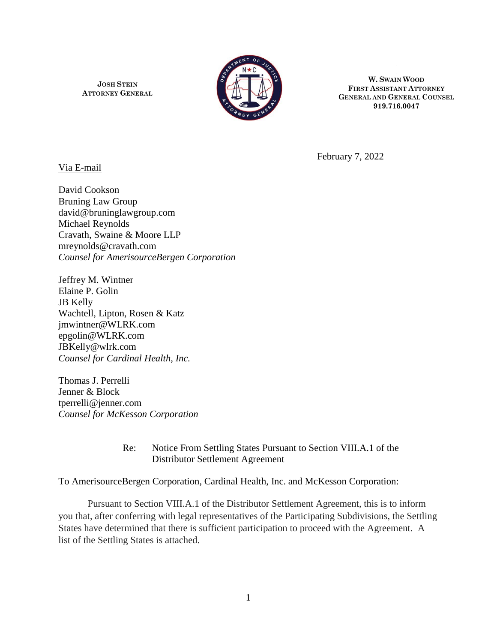**JOSH STEIN ATTORNEY GENERAL**



**W. SWAIN WOOD FIRST ASSISTANT ATTORNEY GENERAL AND GENERAL COUNSEL 919.716.0047**

Via E-mail

February 7, 2022

David Cookson Bruning Law Group david@bruninglawgroup.com Michael Reynolds Cravath, Swaine & Moore LLP mreynolds@cravath.com *Counsel for AmerisourceBergen Corporation*

Jeffrey M. Wintner Elaine P. Golin JB Kelly Wachtell, Lipton, Rosen & Katz jmwintner@WLRK.com epgolin@WLRK.com JBKelly@wlrk.com *Counsel for Cardinal Health, Inc.*

Thomas J. Perrelli Jenner & Block tperrelli@jenner.com *Counsel for McKesson Corporation*

> Re: Notice From Settling States Pursuant to Section VIII.A.1 of the Distributor Settlement Agreement

To AmerisourceBergen Corporation, Cardinal Health, Inc. and McKesson Corporation:

Pursuant to Section VIII.A.1 of the Distributor Settlement Agreement, this is to inform you that, after conferring with legal representatives of the Participating Subdivisions, the Settling States have determined that there is sufficient participation to proceed with the Agreement. A list of the Settling States is attached.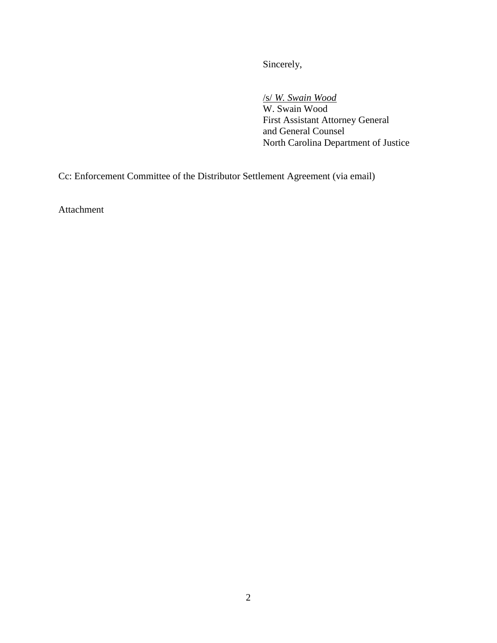Sincerely,

/s/ *W. Swain Wood* W. Swain Wood First Assistant Attorney General and General Counsel North Carolina Department of Justice

Cc: Enforcement Committee of the Distributor Settlement Agreement (via email)

Attachment